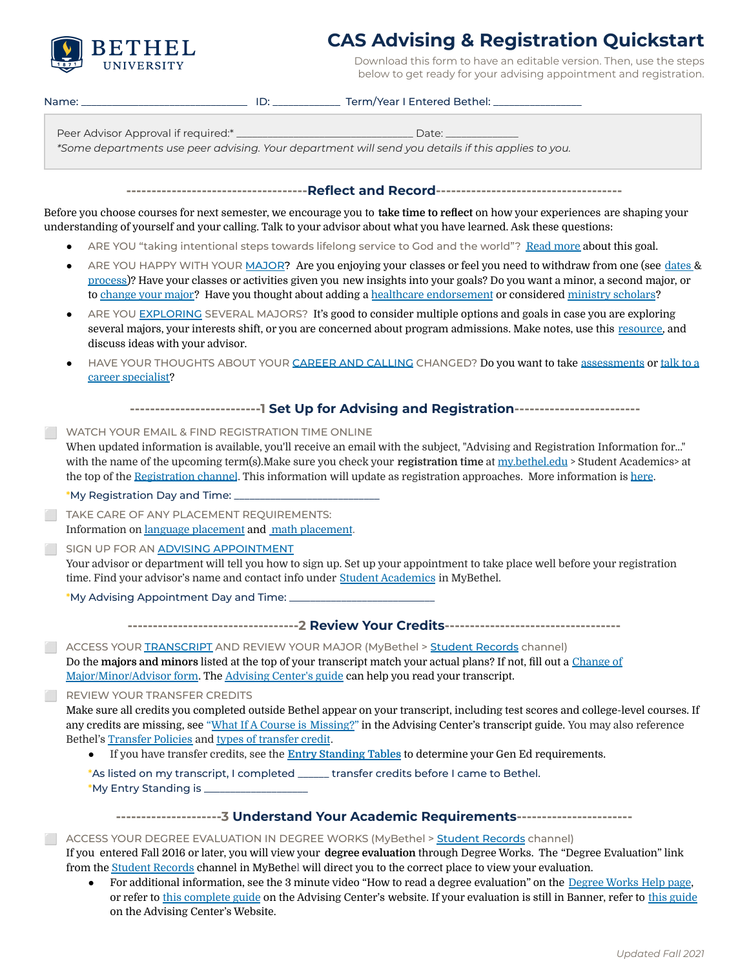

# **CAS Advising & Registration Quickstart**

Download this form to have an editable version. Then, use the steps below to get ready for your advising appointment and registration.

Name: \_\_\_\_\_\_\_\_\_\_\_\_\_\_\_\_\_\_\_\_\_\_\_\_\_\_\_\_\_\_\_\_ ID: \_\_\_\_\_\_\_\_\_\_\_\_\_ Term/Year I Entered Bethel: \_\_\_\_\_\_\_\_\_\_\_\_\_\_\_\_\_

Peer Advisor Approval if required:\* \_\_\_\_\_\_\_\_\_\_\_\_\_\_\_\_\_\_\_\_\_\_\_\_\_\_\_\_\_\_\_\_\_\_ Date: \_\_\_\_\_\_\_\_\_\_\_\_\_\_

*\*Some departments use peer advising. Your department will send you details if this applies to you.*

**------------------------------------Reflect and Record-------------------------------------**

Before you choose courses for next semester, we encourage you to **take time to reflect** on how your experiences are shaping your understanding of yourself and your calling. Talk to your advisor about what you have learned. Ask these questions:

- ARE YOU "taking intentional steps towards lifelong service to God and the world"? Read [more](https://docs.google.com/document/d/1mbMBRq1oP2e7YukPOV01PwtNpLQ867mawRq_rX-QVq0/edit?usp=sharing) about this goal.
- ARE YOU HAPPY WITH YOUR [MAJOR?](https://www.bethel.edu/undergrad/academics/majors-minors) Are you enjoying your classes or feel you need to withdraw from one (see [dates](https://catalog.bethel.edu/arts-sciences/academic-calendar/) & [process\)](https://www.bethel.edu/registrar/registration/undergrad/files/registration-help.pdf)? Have your classes or activities given you new insights into your goals? Do you want a minor, a second major, or to [change](https://www.bethel.edu/registrar/forms/change-of-major-minor) your major? Have you thought about adding a healthcare [endorsement](https://www.bethel.edu/academics/pathways/healthcare-excellence/healthcare-endorsement) or considered [ministry](https://www.bethel.edu/academics/5-year-ministry/) scholars?
- ARE YOU [EXPLORING](https://www.bethel.edu/advising-center/student-resources/explore-majors) SEVERAL MAJORS? It's good to consider multiple options and goals in case you are exploring several majors, your interests shift, or you are concerned about program admissions. Make notes, use this [resource,](https://www.bethel.edu/advising-center/student-resources/explore-majors) and discuss ideas with your advisor.
- HAVE YOUR THOUGHTS ABOUT YOUR CAREER AND [CALLING](https://www.bethel.edu/career-development/) CHANGED? Do you want to take [assessments](https://www.bethel.edu/career-development/students/resources/assessments) or [talk](https://www.bethel.edu/career-development/contact) to a career [specialist?](https://www.bethel.edu/career-development/contact)

**--------------------------1 Set Up for Advising and Registration-------------------------**

### ⬜ WATCH YOUR EMAIL & FIND REGISTRATION TIME ONLINE

When updated information is available, you'll receive an email with the subject, "Advising and Registration Information for..." with the name of the upcoming term(s).Make sure you check your **registration time** at [my.bethel.edu](https://my.bethel.edu/) > Student Academics> at the top of the [Registration](https://my.bethel.edu/student-academics?channel=b4fa79388c5865136bd9c1147ae0daa2) channel. This information will update as registration approaches. More information is [here](https://www.bethel.edu/registrar/registration/undergrad/schedule).

\*My Registration Day and Time:

⬜ TAKE CARE OF ANY PLACEMENT REQUIREMENTS: Information on language [placement](https://www.bethel.edu/undergrad/academics/languages-cultures-rec-studies/language-placement/) and math [placement](https://www.bethel.edu/undergrad/academics/math-cs/placement-exams/).

SIGN UP FOR AN ADVISING [APPOINTMENT](https://www.bethel.edu/advising-center/student-resources/advisor-information)

Your advisor or department will tell you how to sign up. Set up your appointment to take place well before your registration time. Find your advisor's name and contact info under Student [Academics](https://my.bethel.edu/student-academics?channel=c0b6fb918c586513543f13a622f0a62e) in MyBethel.

\*My Advising Appointment Day and Time: \_

**----------------------------------2 Review Your Credits-----------------------------------**

**EXECTS YOUR [TRANSCRIPT](https://banner.bethel.edu/ssomanager/c/SSB?pkg=bwskotrn.P_ViewTermTran) AND REVIEW YOUR MAJOR (MyBethel > Student [Records](https://my.bethel.edu/student-academics?channel=38f4a7348c58651345d6cc92dc8afc6b) channel)** Do the **majors and minors** listed at the top of your transcript match your actual plans? If not, fill out a [Change](https://www.bethel.edu/registrar/forms/change-of-major-minor) of [Major/Minor/Advisor](https://www.bethel.edu/registrar/forms/change-of-major-minor) form. The [Advising](https://www.bethel.edu/advising-center/student-resources/transcript-degree-evaluation) Center's guide can help you read your transcript.

### **EXAMPLE REVIEW YOUR TRANSFER CREDITS**

Make sure all credits you completed outside Bethel appear on your transcript, including test scores and college-level courses. If any credits are missing, see "What If A Course is [Missing?"](https://www.bethel.edu/advising-center/student-resources/transcript-degree-evaluation#CourseMissing) in the Advising Center's transcript guide. You may also reference Bethel's [Transfer](https://catalog.bethel.edu/arts-sciences/general-information/transfer-credits-bethel/) Policies and types of [transfer](https://www.bethel.edu/registrar/transfer-credits/undergraduate/) credit.

● If you have transfer credits, see the **Entry [Standing](https://catalog.bethel.edu/arts-sciences/general-information/transfer-credits-bethel/transfer-entry-level/#text) Tables** to determine your Gen Ed requirements.

\*As listed on my transcript, I completed \_\_\_\_\_\_ transfer credits before I came to Bethel. \*My Entry Standing is \_

### **---------------------3 Understand Your Academic Requirements-----------------------**

⬜ ACCESS YOUR DEGREE EVALUATION IN DEGREE WORKS (MyBethel > [Student](https://my.bethel.edu/student-academics?channel=38f4a7348c58651345d6cc92dc8afc6b) Records channel)

If you entered Fall 2016 or later, you will view your **degree evaluation** through Degree Works. The "Degree Evaluation" link from the Student [Records](https://my.bethel.edu/student-academics?channel=38f4a7348c58651345d6cc92dc8afc6b) channel in MyBethel will direct you to the correct place to view your evaluation.

For additional information, see the 3 minute video "How to read a degree evaluation" on the [Degree](https://www.bethel.edu/registrar/degree-evaluation/dw-help) Works Help page, or refer to this [complete](https://www.bethel.edu/advising-center/student-resources/dw-degree-evaluation) guide on the Advising Center's website. If your evaluation is still in Banner, refer to this [guide](https://www.bethel.edu/advising-center/student-resources/banner-degree-evaluation) on the Advising Center's Website.